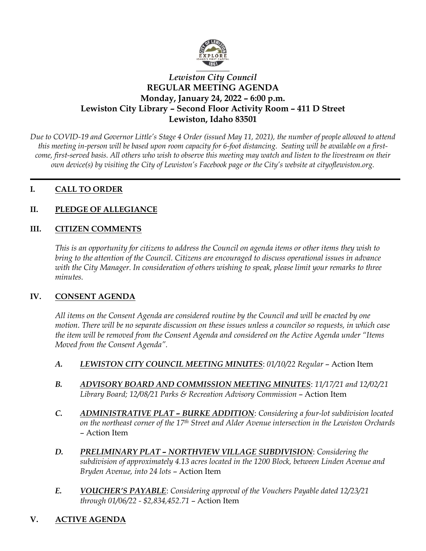

# *Lewiston City Council* **REGULAR MEETING AGENDA Monday, January 24, 2022 – 6:00 p.m. Lewiston City Library – Second Floor Activity Room – 411 D Street Lewiston, Idaho 83501**

*Due to COVID-19 and Governor Little's Stage 4 Order (issued May 11, 2021), the number of people allowed to attend this meeting in-person will be based upon room capacity for 6-foot distancing. Seating will be available on a firstcome, first-served basis. All others who wish to observe this meeting may watch and listen to the livestream on their own device(s) by visiting the City of Lewiston's Facebook page or the City's website at cityoflewiston.org.*

### **I. CALL TO ORDER**

# **II. PLEDGE OF ALLEGIANCE**

## **III. CITIZEN COMMENTS**

*This is an opportunity for citizens to address the Council on agenda items or other items they wish to bring to the attention of the Council. Citizens are encouraged to discuss operational issues in advance with the City Manager. In consideration of others wishing to speak, please limit your remarks to three minutes.* 

### **IV. CONSENT AGENDA**

*All items on the Consent Agenda are considered routine by the Council and will be enacted by one motion. There will be no separate discussion on these issues unless a councilor so requests, in which case the item will be removed from the Consent Agenda and considered on the Active Agenda under "Items Moved from the Consent Agenda".*

- *A. LEWISTON CITY COUNCIL MEETING MINUTES*: *01/10/22 Regular*  Action Item
- *B. ADVISORY BOARD AND COMMISSION MEETING MINUTES*: *11/17/21 and 12/02/21 Library Board; 12/08/21 Parks & Recreation Advisory Commission* – Action Item
- *C. ADMINISTRATIVE PLAT – BURKE ADDITION*: *Considering a four-lot subdivision located on the northeast corner of the 17th Street and Alder Avenue intersection in the Lewiston Orchards* – Action Item
- *D. PRELIMINARY PLAT – NORTHVIEW VILLAGE SUBDIVISION*: *Considering the subdivision of approximately 4.13 acres located in the 1200 Block, between Linden Avenue and Bryden Avenue, into 24 lots* – Action Item
- *E. VOUCHER'S PAYABLE*: *Considering approval of the Vouchers Payable dated 12/23/21 through 01/06/22 - \$2,834,452.71* – Action Item
- **V. ACTIVE AGENDA**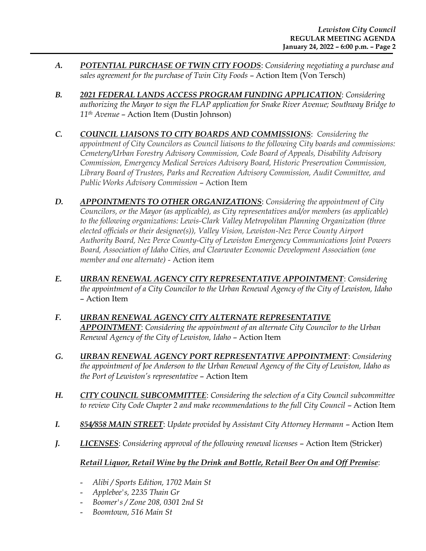- *A. POTENTIAL PURCHASE OF TWIN CITY FOODS*: *Considering negotiating a purchase and sales agreement for the purchase of Twin City Foods* – Action Item (Von Tersch)
- *B. 2021 FEDERAL LANDS ACCESS PROGRAM FUNDING APPLICATION*: *Considering authorizing the Mayor to sign the FLAP application for Snake River Avenue; Southway Bridge to 11th Avenue* – Action Item (Dustin Johnson)
- *C. COUNCIL LIAISONS TO CITY BOARDS AND COMMISSIONS*: *Considering the appointment of City Councilors as Council liaisons to the following City boards and commissions: Cemetery/Urban Forestry Advisory Commission, Code Board of Appeals, Disability Advisory Commission, Emergency Medical Services Advisory Board, Historic Preservation Commission, Library Board of Trustees, Parks and Recreation Advisory Commission, Audit Committee, and Public Works Advisory Commission* – Action Item
- *D. APPOINTMENTS TO OTHER ORGANIZATIONS*: *Considering the appointment of City Councilors, or the Mayor (as applicable), as City representatives and/or members (as applicable) to the following organizations: Lewis-Clark Valley Metropolitan Planning Organization (three elected officials or their designee(s)), Valley Vision, Lewiston-Nez Perce County Airport Authority Board, Nez Perce County-City of Lewiston Emergency Communications Joint Powers Board, Association of Idaho Cities, and Clearwater Economic Development Association (one member and one alternate)* - Action item
- *E. URBAN RENEWAL AGENCY CITY REPRESENTATIVE APPOINTMENT*: *Considering the appointment of a City Councilor to the Urban Renewal Agency of the City of Lewiston, Idaho* – Action Item
- *F. URBAN RENEWAL AGENCY CITY ALTERNATE REPRESENTATIVE APPOINTMENT*: *Considering the appointment of an alternate City Councilor to the Urban Renewal Agency of the City of Lewiston, Idaho* – Action Item
- *G. URBAN RENEWAL AGENCY PORT REPRESENTATIVE APPOINTMENT*: *Considering the appointment of Joe Anderson to the Urban Renewal Agency of the City of Lewiston, Idaho as the Port of Lewiston's representative* – Action Item
- *H. CITY COUNCIL SUBCOMMITTEE*: *Considering the selection of a City Council subcommittee to review City Code Chapter 2 and make recommendations to the full City Council* – Action Item
- *I. 854/858 MAIN STREET*: *Update provided by Assistant City Attorney Hermann* Action Item
- *J.* **LICENSES**: *Considering approval of the following renewal licenses Action Item (Stricker)*

# *Retail Liquor, Retail Wine by the Drink and Bottle, Retail Beer On and Off Premise*:

- *Alibi / Sports Edition, 1702 Main St*
- *Applebee's, 2235 Thain Gr*
- *Boomer's / Zone 208, 0301 2nd St*
- *Boomtown, 516 Main St*